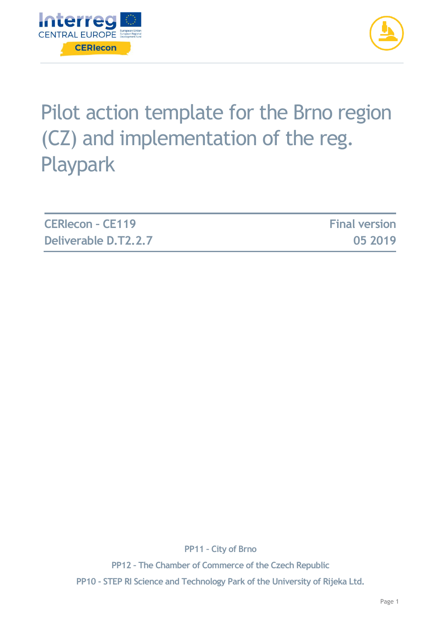



# Pilot action template for the Brno region (CZ) and implementation of the reg. Playpark

| <b>CERIecon - CE119</b> | <b>Final version</b> |
|-------------------------|----------------------|
| Deliverable D.T2.2.7    | 05 2019              |

**PP11 – City of Brno**

**PP12 – The Chamber of Commerce of the Czech Republic PP10 - STEP RI Science and Technology Park of the University of Rijeka Ltd.**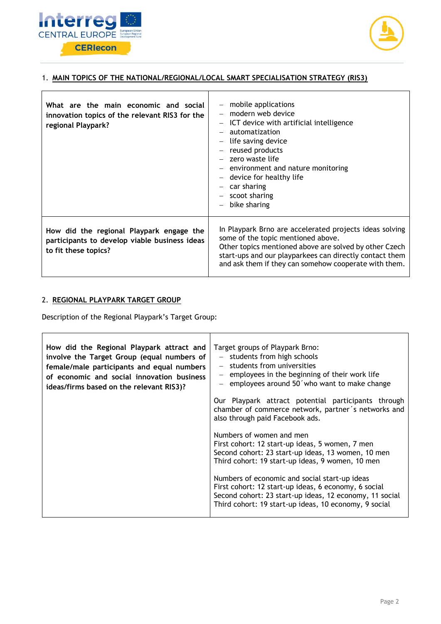



#### 1. **MAIN TOPICS OF THE NATIONAL/REGIONAL/LOCAL SMART SPECIALISATION STRATEGY (RIS3)**

| What are the main economic and social<br>innovation topics of the relevant RIS3 for the<br>regional Playpark?     | mobile applications<br>$-$ modern web device<br>ICT device with artificial intelligence<br>$\overline{\phantom{m}}$<br>automatization<br>life saving device<br>reused products<br>- zero waste life<br>- environment and nature monitoring<br>device for healthy life<br>car sharing<br>scoot sharing<br>bike sharing |
|-------------------------------------------------------------------------------------------------------------------|-----------------------------------------------------------------------------------------------------------------------------------------------------------------------------------------------------------------------------------------------------------------------------------------------------------------------|
| How did the regional Playpark engage the<br>participants to develop viable business ideas<br>to fit these topics? | In Playpark Brno are accelerated projects ideas solving<br>some of the topic mentioned above.<br>Other topics mentioned above are solved by other Czech<br>start-ups and our playparkees can directly contact them<br>and ask them if they can somehow cooperate with them.                                           |

### 2. **REGIONAL PLAYPARK TARGET GROUP**

 $\mathbf{r}$ 

Description of the Regional Playpark's Target Group:

| How did the Regional Playpark attract and<br>involve the Target Group (equal numbers of<br>female/male participants and equal numbers<br>of economic and social innovation business<br>ideas/firms based on the relevant RIS3)? | Target groups of Playpark Brno:<br>- students from high schools<br>- students from universities<br>employees in the beginning of their work life<br>$-$ employees around 50 who want to make change                       |  |
|---------------------------------------------------------------------------------------------------------------------------------------------------------------------------------------------------------------------------------|---------------------------------------------------------------------------------------------------------------------------------------------------------------------------------------------------------------------------|--|
|                                                                                                                                                                                                                                 | Our Playpark attract potential participants through<br>chamber of commerce network, partner's networks and<br>also through paid Facebook ads.                                                                             |  |
|                                                                                                                                                                                                                                 | Numbers of women and men<br>First cohort: 12 start-up ideas, 5 women, 7 men<br>Second cohort: 23 start-up ideas, 13 women, 10 men<br>Third cohort: 19 start-up ideas, 9 women, 10 men                                     |  |
|                                                                                                                                                                                                                                 | Numbers of economic and social start-up ideas<br>First cohort: 12 start-up ideas, 6 economy, 6 social<br>Second cohort: 23 start-up ideas, 12 economy, 11 social<br>Third cohort: 19 start-up ideas, 10 economy, 9 social |  |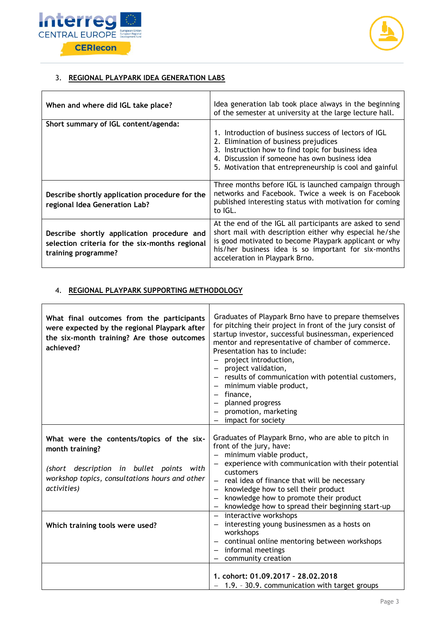

 $\overline{1}$ 



# 3. **REGIONAL PLAYPARK IDEA GENERATION LABS**

| When and where did IGL take place?                                                                                  | Idea generation lab took place always in the beginning<br>of the semester at university at the large lecture hall.                                                                                                                                                    |
|---------------------------------------------------------------------------------------------------------------------|-----------------------------------------------------------------------------------------------------------------------------------------------------------------------------------------------------------------------------------------------------------------------|
| Short summary of IGL content/agenda:                                                                                | 1. Introduction of business success of lectors of IGL<br>2. Elimination of business prejudices<br>3. Instruction how to find topic for business idea<br>4. Discussion if someone has own business idea<br>5. Motivation that entrepreneurship is cool and gainful     |
| Describe shortly application procedure for the<br>regional Idea Generation Lab?                                     | Three months before IGL is launched campaign through<br>networks and Facebook. Twice a week is on Facebook<br>published interesting status with motivation for coming<br>to IGL.                                                                                      |
| Describe shortly application procedure and<br>selection criteria for the six-months regional<br>training programme? | At the end of the IGL all participants are asked to send<br>short mail with description either why especial he/she<br>is good motivated to become Playpark applicant or why<br>his/her business idea is so important for six-months<br>acceleration in Playpark Brno. |

### 4. **REGIONAL PLAYPARK SUPPORTING METHODOLOGY**

| What final outcomes from the participants<br>were expected by the regional Playpark after<br>the six-month training? Are those outcomes<br>achieved?                      | Graduates of Playpark Brno have to prepare themselves<br>for pitching their project in front of the jury consist of<br>startup investor, successful businessman, experienced<br>mentor and representative of chamber of commerce.<br>Presentation has to include:<br>project introduction,<br>project validation,<br>$\overline{\phantom{m}}$<br>results of communication with potential customers,<br>$\equiv$ .<br>minimum viable product,<br>finance,<br>$\qquad \qquad -$<br>planned progress<br>$\overline{\phantom{m}}$<br>promotion, marketing<br>$\overline{\phantom{0}}$<br>impact for society |
|---------------------------------------------------------------------------------------------------------------------------------------------------------------------------|---------------------------------------------------------------------------------------------------------------------------------------------------------------------------------------------------------------------------------------------------------------------------------------------------------------------------------------------------------------------------------------------------------------------------------------------------------------------------------------------------------------------------------------------------------------------------------------------------------|
| What were the contents/topics of the six-<br>month training?<br>(short description in bullet points with<br>workshop topics, consultations hours and other<br>activities) | Graduates of Playpark Brno, who are able to pitch in<br>front of the jury, have:<br>- minimum viable product,<br>experience with communication with their potential<br>customers<br>real idea of finance that will be necessary<br>$\equiv$<br>knowledge how to sell their product<br>knowledge how to promote their product<br>knowledge how to spread their beginning start-up                                                                                                                                                                                                                        |
| Which training tools were used?                                                                                                                                           | - interactive workshops<br>interesting young businessmen as a hosts on<br>workshops<br>continual online mentoring between workshops<br>$\overline{\phantom{m}}$<br>informal meetings<br>$\sim$ .<br>community creation                                                                                                                                                                                                                                                                                                                                                                                  |
|                                                                                                                                                                           | 1. cohort: 01.09.2017 - 28.02.2018<br>- 1.9. - 30.9. communication with target groups                                                                                                                                                                                                                                                                                                                                                                                                                                                                                                                   |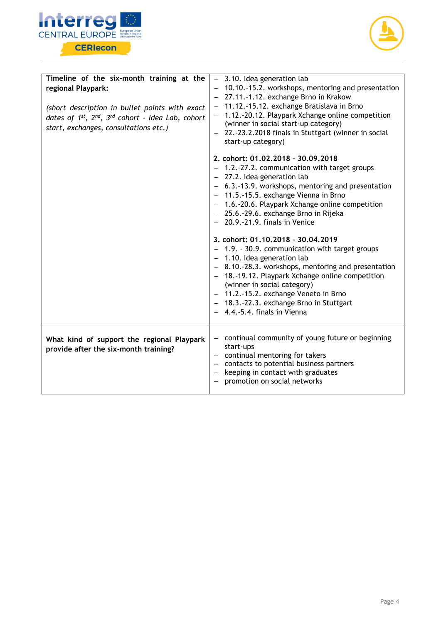



| Timeline of the six-month training at the<br>regional Playpark:<br>(short description in bullet points with exact<br>dates of 1st, 2nd, 3rd cohort - Idea Lab, cohort<br>start, exchanges, consultations etc.) | $-$ 3.10. Idea generation lab<br>- 10.10.-15.2. workshops, mentoring and presentation<br>- 27.11.-1.12. exchange Brno in Krakow<br>11.12.-15.12. exchange Bratislava in Brno<br>1.12.-20.12. Playpark Xchange online competition<br>(winner in social start-up category)<br>- 22.-23.2.2018 finals in Stuttgart (winner in social<br>start-up category)                             |  |
|----------------------------------------------------------------------------------------------------------------------------------------------------------------------------------------------------------------|-------------------------------------------------------------------------------------------------------------------------------------------------------------------------------------------------------------------------------------------------------------------------------------------------------------------------------------------------------------------------------------|--|
|                                                                                                                                                                                                                | 2. cohort: 01.02.2018 - 30.09.2018<br>1.2.-27.2. communication with target groups<br>27.2. Idea generation lab<br>- 6.3.-13.9. workshops, mentoring and presentation<br>- 11.5.-15.5. exchange Vienna in Brno<br>- 1.6.-20.6. Playpark Xchange online competition<br>- 25.6.-29.6. exchange Brno in Rijeka<br>$-$ 20.9.-21.9. finals in Venice                                      |  |
|                                                                                                                                                                                                                | 3. cohort: 01.10.2018 - 30.04.2019<br>- 1.9. - 30.9. communication with target groups<br>$-$ 1.10. Idea generation lab<br>- 8.10.-28.3. workshops, mentoring and presentation<br>- 18.-19.12. Playpark Xchange online competition<br>(winner in social category)<br>- 11.2.-15.2. exchange Veneto in Brno<br>- 18.3.-22.3. exchange Brno in Stuttgart<br>4.4.-5.4. finals in Vienna |  |
| What kind of support the regional Playpark<br>provide after the six-month training?                                                                                                                            | continual community of young future or beginning<br>start-ups<br>continual mentoring for takers<br>- contacts to potential business partners<br>keeping in contact with graduates<br>promotion on social networks                                                                                                                                                                   |  |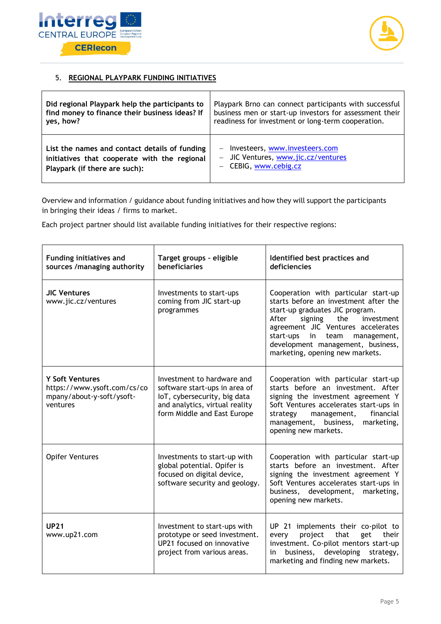



# 5. **REGIONAL PLAYPARK FUNDING INITIATIVES**

| Did regional Playpark help the participants to | Playpark Brno can connect participants with successful  |
|------------------------------------------------|---------------------------------------------------------|
| find money to finance their business ideas? If | business men or start-up investors for assessment their |
| yes, how?                                      | readiness for investment or long-term cooperation.      |
| List the names and contact details of funding  | - Investeers, www.investeers.com                        |
| initiatives that cooperate with the regional   | - JIC Ventures, www.jic.cz/ventures                     |
| Playpark (if there are such):                  | CEBIG, www.cebig.cz                                     |

Overview and information / guidance about funding initiatives and how they will support the participants in bringing their ideas / firms to market.

Each project partner should list available funding initiatives for their respective regions:

| <b>Funding initiatives and</b><br>sources /managing authority                                  | Target groups - eligible<br>beneficiaries                                                                                                                    | Identified best practices and<br>deficiencies                                                                                                                                                                                                                                                                  |
|------------------------------------------------------------------------------------------------|--------------------------------------------------------------------------------------------------------------------------------------------------------------|----------------------------------------------------------------------------------------------------------------------------------------------------------------------------------------------------------------------------------------------------------------------------------------------------------------|
| <b>JIC Ventures</b><br>www.jic.cz/ventures                                                     | Investments to start-ups<br>coming from JIC start-up<br>programmes                                                                                           | Cooperation with particular start-up<br>starts before an investment after the<br>start-up graduates JIC program.<br>After<br>signing the<br>investment<br>agreement JIC Ventures accelerates<br>start-ups<br>in<br>team<br>management,<br>development management, business,<br>marketing, opening new markets. |
| <b>Y Soft Ventures</b><br>https://www.ysoft.com/cs/co<br>mpany/about-y-soft/ysoft-<br>ventures | Investment to hardware and<br>software start-ups in area of<br>IoT, cybersecurity, big data<br>and analytics, virtual reality<br>form Middle and East Europe | Cooperation with particular start-up<br>starts before an investment. After<br>signing the investment agreement Y<br>Soft Ventures accelerates start-ups in<br>financial<br>management,<br>strategy<br>management, business,<br>marketing,<br>opening new markets.                                              |
| <b>Opifer Ventures</b>                                                                         | Investments to start-up with<br>global potential. Opifer is<br>focused on digital device,<br>software security and geology.                                  | Cooperation with particular start-up<br>starts before an investment. After<br>signing the investment agreement Y<br>Soft Ventures accelerates start-ups in<br>development,<br>business,<br>marketing,<br>opening new markets.                                                                                  |
| <b>UP21</b><br>www.up21.com                                                                    | Investment to start-ups with<br>prototype or seed investment.<br>UP21 focused on innovative<br>project from various areas.                                   | UP 21 implements their co-pilot to<br>that<br>project<br>get<br>their<br>every<br>investment. Co-pilot mentors start-up<br>business,<br>developing<br>strategy,<br>in<br>marketing and finding new markets.                                                                                                    |